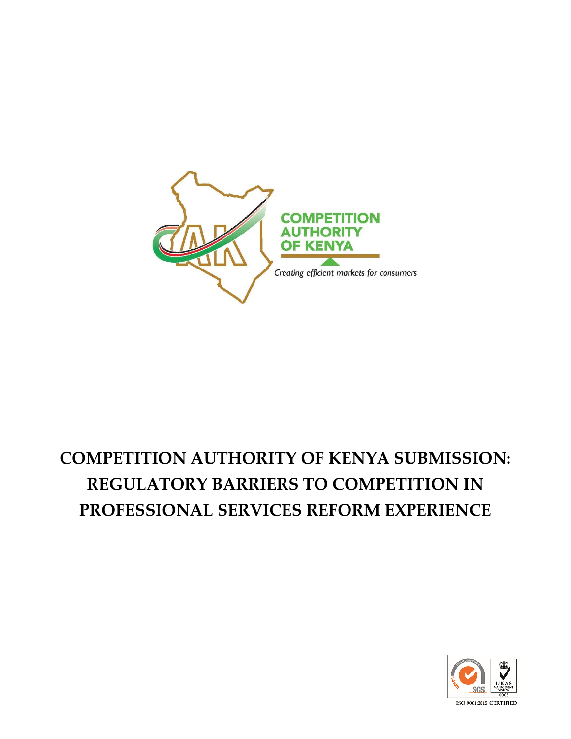

# **COMPETITION AUTHORITY OF KENYA SUBMISSION: REGULATORY BARRIERS TO COMPETITION IN PROFESSIONAL SERVICES REFORM EXPERIENCE**

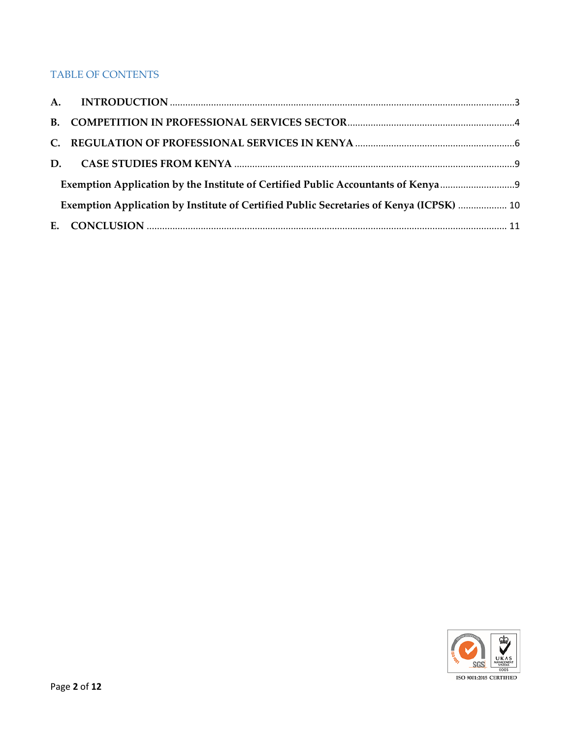# TABLE OF CONTENTS

| Exemption Application by the Institute of Certified Public Accountants of Kenya         |  |
|-----------------------------------------------------------------------------------------|--|
| Exemption Application by Institute of Certified Public Secretaries of Kenya (ICPSK)  10 |  |
|                                                                                         |  |



ISO 9001:2015 CERTIFIED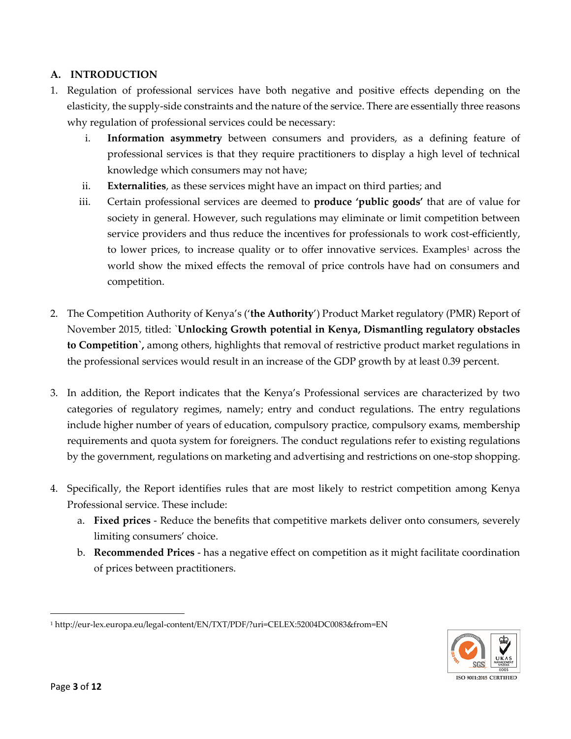# <span id="page-2-0"></span>**A. INTRODUCTION**

- 1. Regulation of professional services have both negative and positive effects depending on the elasticity, the supply-side constraints and the nature of the service. There are essentially three reasons why regulation of professional services could be necessary:
	- i. **Information asymmetry** between consumers and providers, as a defining feature of professional services is that they require practitioners to display a high level of technical knowledge which consumers may not have;
	- ii. **Externalities**, as these services might have an impact on third parties; and
	- iii. Certain professional services are deemed to **produce 'public goods'** that are of value for society in general. However, such regulations may eliminate or limit competition between service providers and thus reduce the incentives for professionals to work cost-efficiently, to lower prices, to increase quality or to offer innovative services. Examples<sup>1</sup> across the world show the mixed effects the removal of price controls have had on consumers and competition.
- 2. The Competition Authority of Kenya's ('**the Authority**') Product Market regulatory (PMR) Report of November 2015, titled: `**Unlocking Growth potential in Kenya, Dismantling regulatory obstacles to Competition`,** among others, highlights that removal of restrictive product market regulations in the professional services would result in an increase of the GDP growth by at least 0.39 percent.
- 3. In addition, the Report indicates that the Kenya's Professional services are characterized by two categories of regulatory regimes, namely; entry and conduct regulations. The entry regulations include higher number of years of education, compulsory practice, compulsory exams, membership requirements and quota system for foreigners. The conduct regulations refer to existing regulations by the government, regulations on marketing and advertising and restrictions on one-stop shopping.
- 4. Specifically, the Report identifies rules that are most likely to restrict competition among Kenya Professional service. These include:
	- a. **Fixed prices** Reduce the benefits that competitive markets deliver onto consumers, severely limiting consumers' choice.
	- b. **Recommended Prices** has a negative effect on competition as it might facilitate coordination of prices between practitioners.



SO 9001:2015 CERTIFIED

l

<sup>1</sup> http://eur-lex.europa.eu/legal-content/EN/TXT/PDF/?uri=CELEX:52004DC0083&from=EN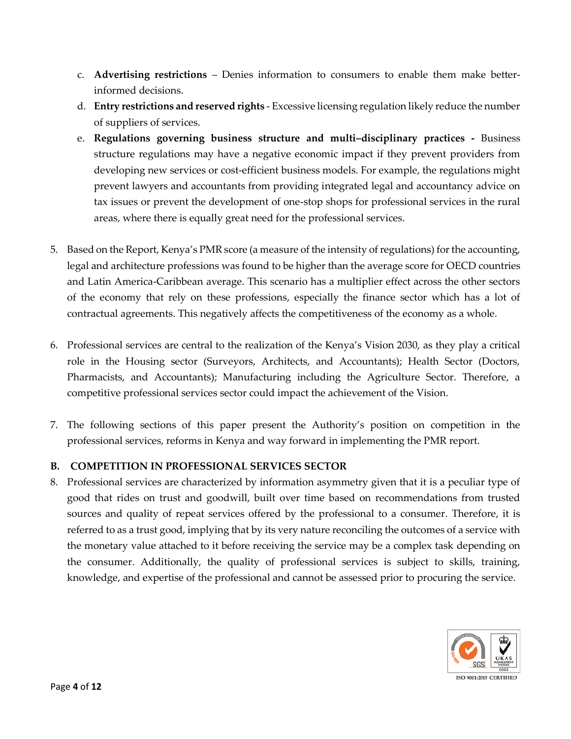- c. **Advertising restrictions** Denies information to consumers to enable them make betterinformed decisions.
- d. **Entry restrictions and reserved rights** Excessive licensing regulation likely reduce the number of suppliers of services.
- e. **Regulations governing business structure and multi–disciplinary practices -** Business structure regulations may have a negative economic impact if they prevent providers from developing new services or cost-efficient business models. For example, the regulations might prevent lawyers and accountants from providing integrated legal and accountancy advice on tax issues or prevent the development of one-stop shops for professional services in the rural areas, where there is equally great need for the professional services.
- 5. Based on the Report, Kenya's PMR score (a measure of the intensity of regulations) for the accounting, legal and architecture professions was found to be higher than the average score for OECD countries and Latin America-Caribbean average. This scenario has a multiplier effect across the other sectors of the economy that rely on these professions, especially the finance sector which has a lot of contractual agreements. This negatively affects the competitiveness of the economy as a whole.
- 6. Professional services are central to the realization of the Kenya's Vision 2030, as they play a critical role in the Housing sector (Surveyors, Architects, and Accountants); Health Sector (Doctors, Pharmacists, and Accountants); Manufacturing including the Agriculture Sector. Therefore, a competitive professional services sector could impact the achievement of the Vision.
- 7. The following sections of this paper present the Authority's position on competition in the professional services, reforms in Kenya and way forward in implementing the PMR report.

### <span id="page-3-0"></span>**B. COMPETITION IN PROFESSIONAL SERVICES SECTOR**

8. Professional services are characterized by information asymmetry given that it is a peculiar type of good that rides on trust and goodwill, built over time based on recommendations from trusted sources and quality of repeat services offered by the professional to a consumer. Therefore, it is referred to as a trust good, implying that by its very nature reconciling the outcomes of a service with the monetary value attached to it before receiving the service may be a complex task depending on the consumer. Additionally, the quality of professional services is subject to skills, training, knowledge, and expertise of the professional and cannot be assessed prior to procuring the service.

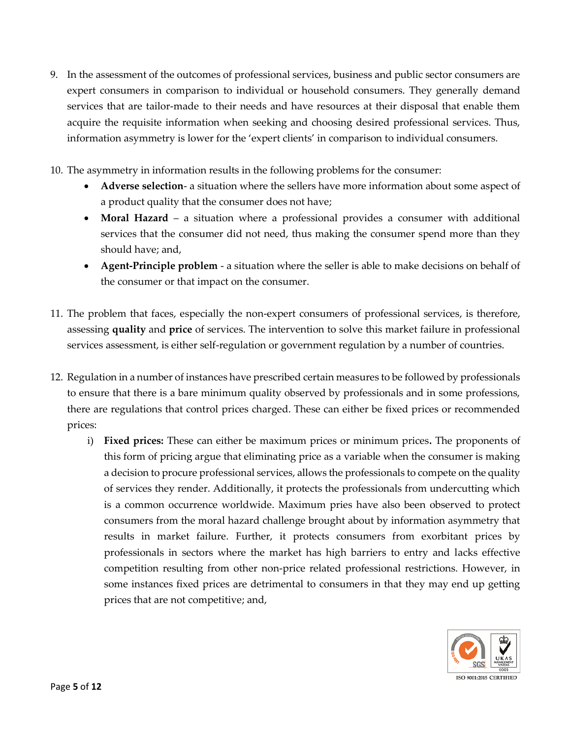- 9. In the assessment of the outcomes of professional services, business and public sector consumers are expert consumers in comparison to individual or household consumers. They generally demand services that are tailor-made to their needs and have resources at their disposal that enable them acquire the requisite information when seeking and choosing desired professional services. Thus, information asymmetry is lower for the 'expert clients' in comparison to individual consumers.
- 10. The asymmetry in information results in the following problems for the consumer:
	- **Adverse selection** a situation where the sellers have more information about some aspect of a product quality that the consumer does not have;
	- **Moral Hazard** a situation where a professional provides a consumer with additional services that the consumer did not need, thus making the consumer spend more than they should have; and,
	- **Agent-Principle problem** a situation where the seller is able to make decisions on behalf of the consumer or that impact on the consumer.
- 11. The problem that faces, especially the non-expert consumers of professional services, is therefore, assessing **quality** and **price** of services. The intervention to solve this market failure in professional services assessment, is either self-regulation or government regulation by a number of countries.
- 12. Regulation in a number of instances have prescribed certain measures to be followed by professionals to ensure that there is a bare minimum quality observed by professionals and in some professions, there are regulations that control prices charged. These can either be fixed prices or recommended prices:
	- i) **Fixed prices:** These can either be maximum prices or minimum prices**.** The proponents of this form of pricing argue that eliminating price as a variable when the consumer is making a decision to procure professional services, allows the professionals to compete on the quality of services they render. Additionally, it protects the professionals from undercutting which is a common occurrence worldwide. Maximum pries have also been observed to protect consumers from the moral hazard challenge brought about by information asymmetry that results in market failure. Further, it protects consumers from exorbitant prices by professionals in sectors where the market has high barriers to entry and lacks effective competition resulting from other non-price related professional restrictions. However, in some instances fixed prices are detrimental to consumers in that they may end up getting prices that are not competitive; and,

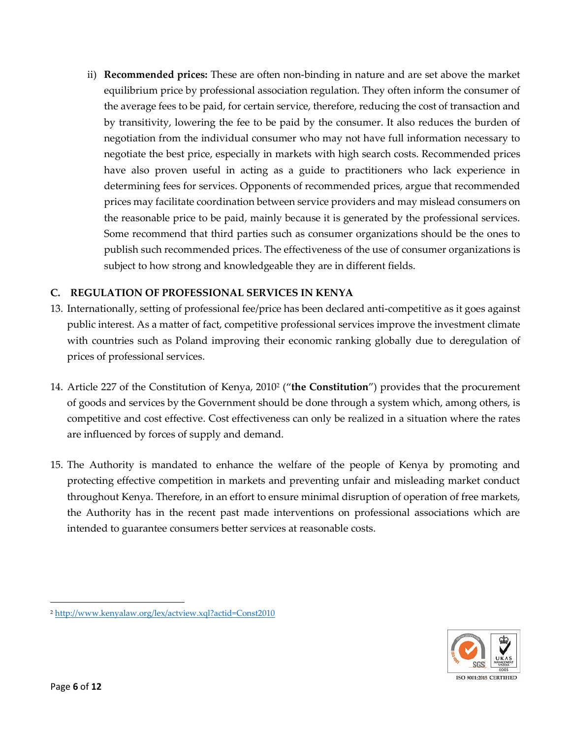ii) **Recommended prices:** These are often non-binding in nature and are set above the market equilibrium price by professional association regulation. They often inform the consumer of the average fees to be paid, for certain service, therefore, reducing the cost of transaction and by transitivity, lowering the fee to be paid by the consumer. It also reduces the burden of negotiation from the individual consumer who may not have full information necessary to negotiate the best price, especially in markets with high search costs. Recommended prices have also proven useful in acting as a guide to practitioners who lack experience in determining fees for services. Opponents of recommended prices, argue that recommended prices may facilitate coordination between service providers and may mislead consumers on the reasonable price to be paid, mainly because it is generated by the professional services. Some recommend that third parties such as consumer organizations should be the ones to publish such recommended prices. The effectiveness of the use of consumer organizations is subject to how strong and knowledgeable they are in different fields.

## <span id="page-5-0"></span>**C. REGULATION OF PROFESSIONAL SERVICES IN KENYA**

- 13. Internationally, setting of professional fee/price has been declared anti-competitive as it goes against public interest. As a matter of fact, competitive professional services improve the investment climate with countries such as Poland improving their economic ranking globally due to deregulation of prices of professional services.
- 14. Article 227 of the Constitution of Kenya, 2010<sup>2</sup> ("**the Constitution**") provides that the procurement of goods and services by the Government should be done through a system which, among others, is competitive and cost effective. Cost effectiveness can only be realized in a situation where the rates are influenced by forces of supply and demand.
- 15. The Authority is mandated to enhance the welfare of the people of Kenya by promoting and protecting effective competition in markets and preventing unfair and misleading market conduct throughout Kenya. Therefore, in an effort to ensure minimal disruption of operation of free markets, the Authority has in the recent past made interventions on professional associations which are intended to guarantee consumers better services at reasonable costs.



<sup>2</sup> <http://www.kenyalaw.org/lex/actview.xql?actid=Const2010>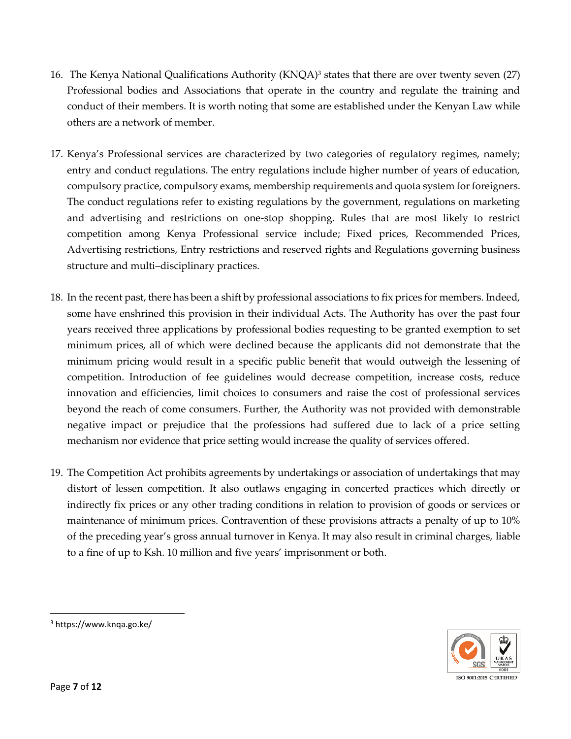- 16. The Kenya National Qualifications Authority (KNQA)<sup>3</sup> states that there are over twenty seven (27) Professional bodies and Associations that operate in the country and regulate the training and conduct of their members. It is worth noting that some are established under the Kenyan Law while others are a network of member.
- 17. Kenya's Professional services are characterized by two categories of regulatory regimes, namely; entry and conduct regulations. The entry regulations include higher number of years of education, compulsory practice, compulsory exams, membership requirements and quota system for foreigners. The conduct regulations refer to existing regulations by the government, regulations on marketing and advertising and restrictions on one-stop shopping. Rules that are most likely to restrict competition among Kenya Professional service include; Fixed prices, Recommended Prices, Advertising restrictions, Entry restrictions and reserved rights and Regulations governing business structure and multi–disciplinary practices.
- 18. In the recent past, there has been a shift by professional associations to fix prices for members. Indeed, some have enshrined this provision in their individual Acts. The Authority has over the past four years received three applications by professional bodies requesting to be granted exemption to set minimum prices, all of which were declined because the applicants did not demonstrate that the minimum pricing would result in a specific public benefit that would outweigh the lessening of competition. Introduction of fee guidelines would decrease competition, increase costs, reduce innovation and efficiencies, limit choices to consumers and raise the cost of professional services beyond the reach of come consumers. Further, the Authority was not provided with demonstrable negative impact or prejudice that the professions had suffered due to lack of a price setting mechanism nor evidence that price setting would increase the quality of services offered.
- 19. The Competition Act prohibits agreements by undertakings or association of undertakings that may distort of lessen competition. It also outlaws engaging in concerted practices which directly or indirectly fix prices or any other trading conditions in relation to provision of goods or services or maintenance of minimum prices. Contravention of these provisions attracts a penalty of up to 10% of the preceding year's gross annual turnover in Kenya. It may also result in criminal charges, liable to a fine of up to Ksh. 10 million and five years' imprisonment or both.



l

<sup>3</sup> https://www.knqa.go.ke/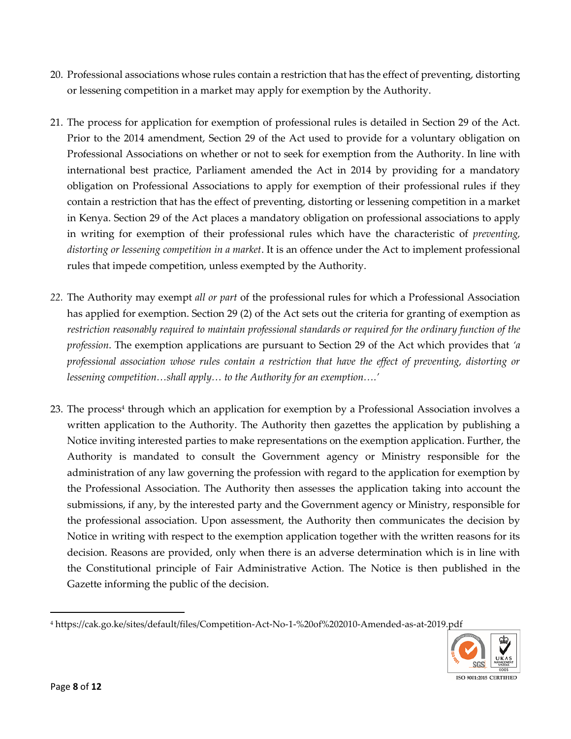- 20. Professional associations whose rules contain a restriction that has the effect of preventing, distorting or lessening competition in a market may apply for exemption by the Authority.
- 21. The process for application for exemption of professional rules is detailed in Section 29 of the Act. Prior to the 2014 amendment, Section 29 of the Act used to provide for a voluntary obligation on Professional Associations on whether or not to seek for exemption from the Authority. In line with international best practice, Parliament amended the Act in 2014 by providing for a mandatory obligation on Professional Associations to apply for exemption of their professional rules if they contain a restriction that has the effect of preventing, distorting or lessening competition in a market in Kenya. Section 29 of the Act places a mandatory obligation on professional associations to apply in writing for exemption of their professional rules which have the characteristic of *preventing, distorting or lessening competition in a market*. It is an offence under the Act to implement professional rules that impede competition, unless exempted by the Authority.
- *22.* The Authority may exempt *all or part* of the professional rules for which a Professional Association has applied for exemption. Section 29 (2) of the Act sets out the criteria for granting of exemption as *restriction reasonably required to maintain professional standards or required for the ordinary function of the profession*. The exemption applications are pursuant to Section 29 of the Act which provides that *'a professional association whose rules contain a restriction that have the effect of preventing, distorting or lessening competition…shall apply… to the Authority for an exemption….'*
- 23. The process<sup>4</sup> through which an application for exemption by a Professional Association involves a written application to the Authority. The Authority then gazettes the application by publishing a Notice inviting interested parties to make representations on the exemption application. Further, the Authority is mandated to consult the Government agency or Ministry responsible for the administration of any law governing the profession with regard to the application for exemption by the Professional Association. The Authority then assesses the application taking into account the submissions, if any, by the interested party and the Government agency or Ministry, responsible for the professional association. Upon assessment, the Authority then communicates the decision by Notice in writing with respect to the exemption application together with the written reasons for its decision. Reasons are provided, only when there is an adverse determination which is in line with the Constitutional principle of Fair Administrative Action. The Notice is then published in the Gazette informing the public of the decision.

<sup>4</sup> https://cak.go.ke/sites/default/files/Competition-Act-No-1-%20of%202010-Amended-as-at-2019.pdf



ISO 9001:2015 CERTIFIED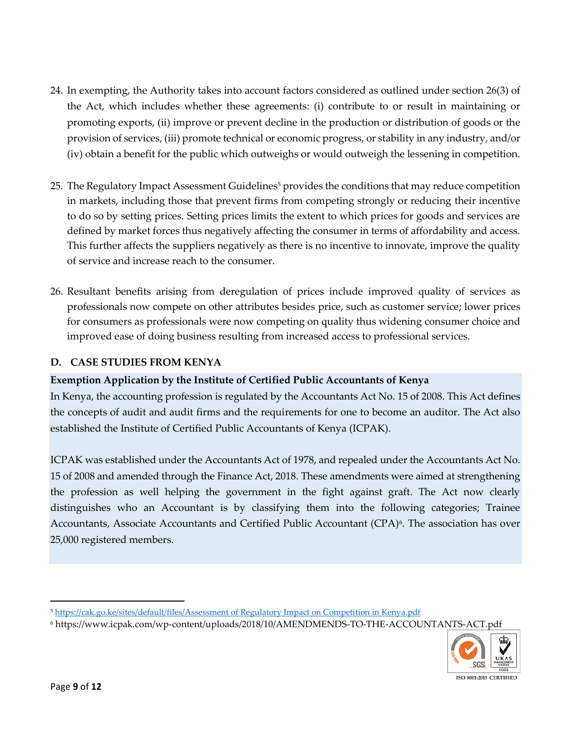- 24. In exempting, the Authority takes into account factors considered as outlined under section 26(3) of the Act, which includes whether these agreements: (i) contribute to or result in maintaining or promoting exports, (ii) improve or prevent decline in the production or distribution of goods or the provision of services, (iii) promote technical or economic progress, or stability in any industry, and/or (iv) obtain a benefit for the public which outweighs or would outweigh the lessening in competition.
- 25. The Regulatory Impact Assessment Guidelines<sup>5</sup> provides the conditions that may reduce competition in markets, including those that prevent firms from competing strongly or reducing their incentive to do so by setting prices. Setting prices limits the extent to which prices for goods and services are defined by market forces thus negatively affecting the consumer in terms of affordability and access. This further affects the suppliers negatively as there is no incentive to innovate, improve the quality of service and increase reach to the consumer.
- 26. Resultant benefits arising from deregulation of prices include improved quality of services as professionals now compete on other attributes besides price, such as customer service; lower prices for consumers as professionals were now competing on quality thus widening consumer choice and improved ease of doing business resulting from increased access to professional services.

## <span id="page-8-0"></span>**D. CASE STUDIES FROM KENYA**

### <span id="page-8-1"></span>**Exemption Application by the Institute of Certified Public Accountants of Kenya**

In Kenya, the accounting profession is regulated by the Accountants Act No. 15 of 2008. This Act defines the concepts of audit and audit firms and the requirements for one to become an auditor. The Act also established the Institute of Certified Public Accountants of Kenya (ICPAK).

ICPAK was established under the Accountants Act of 1978, and repealed under the Accountants Act No. 15 of 2008 and amended through the Finance Act, 2018. These amendments were aimed at strengthening the profession as well helping the government in the fight against graft. The Act now clearly distinguishes who an Accountant is by classifying them into the following categories; Trainee Accountants, Associate Accountants and Certified Public Accountant (CPA)<sup>6</sup>. The association has over 25,000 registered members.

<sup>6</sup> https://www.icpak.com/wp-content/uploads/2018/10/AMENDMENDS-TO-THE-ACCOUNTANTS-ACT.pdf



<sup>5</sup> <https://cak.go.ke/sites/default/files/Assessment> of Regulatory Impact on Competition in Kenya.pdf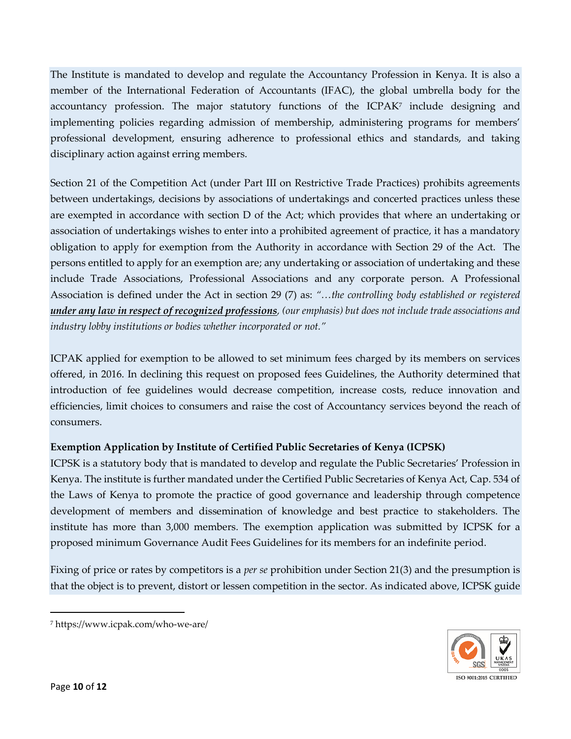The Institute is mandated to develop and regulate the Accountancy Profession in Kenya. It is also a member of the International Federation of Accountants (IFAC), the global umbrella body for the accountancy profession. The major statutory functions of the ICPAK<sup>7</sup> include designing and implementing policies regarding admission of membership, administering programs for members' professional development, ensuring adherence to professional ethics and standards, and taking disciplinary action against erring members.

Section 21 of the Competition Act (under Part III on Restrictive Trade Practices) prohibits agreements between undertakings, decisions by associations of undertakings and concerted practices unless these are exempted in accordance with section D of the Act; which provides that where an undertaking or association of undertakings wishes to enter into a prohibited agreement of practice, it has a mandatory obligation to apply for exemption from the Authority in accordance with Section 29 of the Act. The persons entitled to apply for an exemption are; any undertaking or association of undertaking and these include Trade Associations, Professional Associations and any corporate person. A Professional Association is defined under the Act in section 29 (7) as: *"…the controlling body established or registered under any law in respect of recognized professions, (our emphasis) but does not include trade associations and industry lobby institutions or bodies whether incorporated or not."*

ICPAK applied for exemption to be allowed to set minimum fees charged by its members on services offered, in 2016. In declining this request on proposed fees Guidelines, the Authority determined that introduction of fee guidelines would decrease competition, increase costs, reduce innovation and efficiencies, limit choices to consumers and raise the cost of Accountancy services beyond the reach of consumers.

# <span id="page-9-0"></span>**Exemption Application by Institute of Certified Public Secretaries of Kenya (ICPSK)**

ICPSK is a statutory body that is mandated to develop and regulate the Public Secretaries' Profession in Kenya. The institute is further mandated under the Certified Public Secretaries of Kenya Act, Cap. 534 of the Laws of Kenya to promote the practice of good governance and leadership through competence development of members and dissemination of knowledge and best practice to stakeholders. The institute has more than 3,000 members. The exemption application was submitted by ICPSK for a proposed minimum Governance Audit Fees Guidelines for its members for an indefinite period.

Fixing of price or rates by competitors is a *per se* prohibition under Section 21(3) and the presumption is that the object is to prevent, distort or lessen competition in the sector. As indicated above, ICPSK guide



<sup>7</sup> https://www.icpak.com/who-we-are/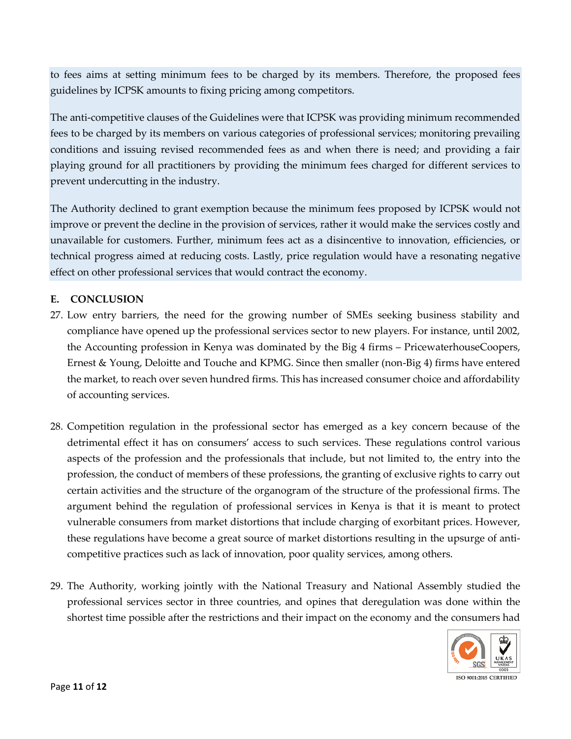to fees aims at setting minimum fees to be charged by its members. Therefore, the proposed fees guidelines by ICPSK amounts to fixing pricing among competitors.

The anti-competitive clauses of the Guidelines were that ICPSK was providing minimum recommended fees to be charged by its members on various categories of professional services; monitoring prevailing conditions and issuing revised recommended fees as and when there is need; and providing a fair playing ground for all practitioners by providing the minimum fees charged for different services to prevent undercutting in the industry.

The Authority declined to grant exemption because the minimum fees proposed by ICPSK would not improve or prevent the decline in the provision of services, rather it would make the services costly and unavailable for customers. Further, minimum fees act as a disincentive to innovation, efficiencies, or technical progress aimed at reducing costs. Lastly, price regulation would have a resonating negative effect on other professional services that would contract the economy.

#### <span id="page-10-0"></span>**E. CONCLUSION**

- 27. Low entry barriers, the need for the growing number of SMEs seeking business stability and compliance have opened up the professional services sector to new players. For instance, until 2002, the Accounting profession in Kenya was dominated by the Big 4 firms – PricewaterhouseCoopers, Ernest & Young, Deloitte and Touche and KPMG. Since then smaller (non-Big 4) firms have entered the market, to reach over seven hundred firms. This has increased consumer choice and affordability of accounting services.
- 28. Competition regulation in the professional sector has emerged as a key concern because of the detrimental effect it has on consumers' access to such services. These regulations control various aspects of the profession and the professionals that include, but not limited to, the entry into the profession, the conduct of members of these professions, the granting of exclusive rights to carry out certain activities and the structure of the organogram of the structure of the professional firms. The argument behind the regulation of professional services in Kenya is that it is meant to protect vulnerable consumers from market distortions that include charging of exorbitant prices. However, these regulations have become a great source of market distortions resulting in the upsurge of anticompetitive practices such as lack of innovation, poor quality services, among others.
- 29. The Authority, working jointly with the National Treasury and National Assembly studied the professional services sector in three countries, and opines that deregulation was done within the shortest time possible after the restrictions and their impact on the economy and the consumers had



ISO 9001:2015 CERTIFIED